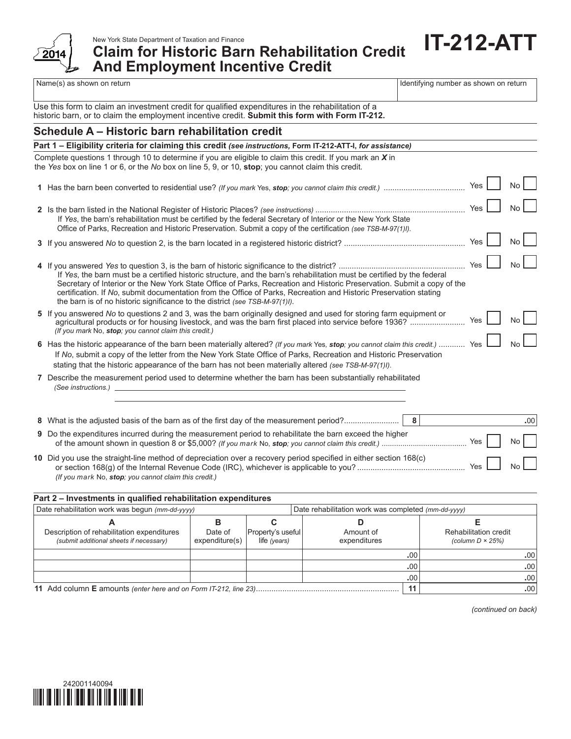

**Claim for Historic Barn Rehabilitation Credit And Employment Incentive Credit**

Name(s) as shown on return in the state of the state of the state of the state of the state of the state of the state of the state of the state of the state of the state of the state of the state of the state of the state

**IT-212-ATT**

|  |  |  | Use this form to claim an investment credit for qualified expenditures in the rehabilitation of a |
|--|--|--|---------------------------------------------------------------------------------------------------|
|  |  |  | historic barn, or to claim the employment incentive credit. Submit this form with Form IT-212.    |

# **Schedule A – Historic barn rehabilitation credit**

| Part 1 - Eligibility criteria for claiming this credit (see instructions, Form IT-212-ATT-I, for assistance)                                                                                                                                                                                                                                                                                                                                          |                         |                |
|-------------------------------------------------------------------------------------------------------------------------------------------------------------------------------------------------------------------------------------------------------------------------------------------------------------------------------------------------------------------------------------------------------------------------------------------------------|-------------------------|----------------|
| Complete questions 1 through 10 to determine if you are eligible to claim this credit. If you mark an X in<br>the Yes box on line 1 or 6, or the No box on line 5, 9, or 10, stop; you cannot claim this credit.                                                                                                                                                                                                                                      |                         |                |
|                                                                                                                                                                                                                                                                                                                                                                                                                                                       | Yes                     | No.            |
| If Yes, the barn's rehabilitation must be certified by the federal Secretary of Interior or the New York State<br>Office of Parks, Recreation and Historic Preservation. Submit a copy of the certification (see TSB-M-97(1)).                                                                                                                                                                                                                        | Yes                     |                |
|                                                                                                                                                                                                                                                                                                                                                                                                                                                       | Yes                     | No.            |
| If Yes, the barn must be a certified historic structure, and the barn's rehabilitation must be certified by the federal<br>Secretary of Interior or the New York State Office of Parks, Recreation and Historic Preservation. Submit a copy of the<br>certification. If No, submit documentation from the Office of Parks, Recreation and Historic Preservation stating<br>the barn is of no historic significance to the district (see TSB-M-97(1)). | Yes                     |                |
| 5 If you answered No to questions 2 and 3, was the barn originally designed and used for storing farm equipment or<br>(If you mark No, stop: you cannot claim this credit.)                                                                                                                                                                                                                                                                           | Yes                     | N <sub>o</sub> |
| 6 Has the historic appearance of the barn been materially altered? (If you mark Yes, stop; you cannot claim this credit.)  Yes<br>If No, submit a copy of the letter from the New York State Office of Parks, Recreation and Historic Preservation<br>stating that the historic appearance of the barn has not been materially altered (see TSB-M-97(1)).                                                                                             |                         | No             |
| 7 Describe the measurement period used to determine whether the barn has been substantially rehabilitated<br>(See instructions.)                                                                                                                                                                                                                                                                                                                      |                         |                |
| 8 What is the adjusted basis of the barn as of the first day of the measurement period?<br>8                                                                                                                                                                                                                                                                                                                                                          |                         | .00            |
| 9 Do the expenditures incurred during the measurement period to rehabilitate the barn exceed the higher                                                                                                                                                                                                                                                                                                                                               | $\lambda$ and $\lambda$ |                |

| <b>3</b> Do the experimented modified during the incastriction period to renabilitate the barri exceed the migher | Yes   | $\mathsf{No}$ |  |
|-------------------------------------------------------------------------------------------------------------------|-------|---------------|--|
| 10 Did you use the straight-line method of depreciation over a recovery period specified in either section 168(c) | Yes I | $No\Box$      |  |
| (If you mark No, stop; you cannot claim this credit.)                                                             |       |               |  |

## **Part 2 – Investments in qualified rehabilitation expenditures**

| Date rehabilitation work was begun (mm-dd-yyyy)                                       |                           | Date rehabilitation work was completed (mm-dd-yyyy) |                           |                  |                                                    |     |
|---------------------------------------------------------------------------------------|---------------------------|-----------------------------------------------------|---------------------------|------------------|----------------------------------------------------|-----|
|                                                                                       |                           |                                                     |                           |                  |                                                    |     |
| Description of rehabilitation expenditures<br>(submit additional sheets if necessary) | Date of<br>expenditure(s) | Property's useful<br>life (years)                   | Amount of<br>expenditures |                  | Rehabilitation credit<br>(column $D \times 25\%$ ) |     |
|                                                                                       |                           |                                                     |                           | .00 <sub>1</sub> |                                                    | .00 |
|                                                                                       |                           |                                                     |                           | .00.             |                                                    | .00 |
|                                                                                       |                           |                                                     |                           | .00'             |                                                    | .00 |
|                                                                                       |                           |                                                     | .00                       |                  |                                                    |     |

*(continued on back)*